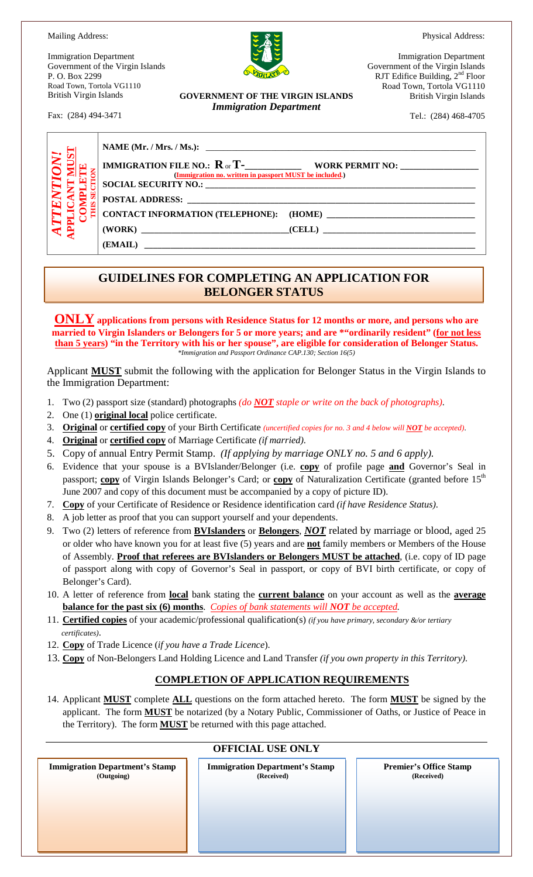Physical Address:

Mailing Address:

Immigration Department Government of the Virgin Islands P. O. Box 2299 Road Town, Tortola VG1110 British Virgin Islands

Fax: (284) 494-3471

**GOVERNMENT OF THE VIRGIN ISLANDS** *Immigration Department*

Immigration Department Government of the Virgin Islands RJT Edifice Building,  $2<sup>nd</sup>$  Floor Road Town, Tortola VG1110 British Virgin Islands

Tel.: (284) 468-4705

| $\frac{1}{\sqrt{2}}$ | $\frac{1}{2}$ $\frac{1}{2}$ $\frac{1}{2}$ $\frac{1}{2}$ $\frac{1}{2}$ $\frac{1}{2}$ $\frac{1}{2}$ $\frac{1}{2}$ $\frac{1}{2}$ $\frac{1}{2}$ $\frac{1}{2}$ $\frac{1}{2}$ $\frac{1}{2}$ $\frac{1}{2}$ $\frac{1}{2}$ $\frac{1}{2}$ $\frac{1}{2}$ $\frac{1}{2}$ $\frac{1}{2}$ $\frac{1}{2}$ $\frac{1}{2}$ $\frac{1}{2}$ |  |
|----------------------|---------------------------------------------------------------------------------------------------------------------------------------------------------------------------------------------------------------------------------------------------------------------------------------------------------------------|--|
| र ≠                  |                                                                                                                                                                                                                                                                                                                     |  |
|                      |                                                                                                                                                                                                                                                                                                                     |  |

#### **GUIDELINES FOR COMPLETING AN APPLICATION FOR BELONGER STATUS**

**ONLY applications from persons with Residence Status for 12 months or more, and persons who are married to Virgin Islanders or Belongers for 5 or more years; and are \*"ordinarily resident" (for not less than 5 years) "in the Territory with his or her spouse", are eligible for consideration of Belonger Status.** *\*Immigration and Passport Ordinance CAP.130; Section 16(5)*

Applicant **MUST** submit the following with the application for Belonger Status in the Virgin Islands to the Immigration Department:

- 1. Two (2) passport size (standard) photographs *(do NOT staple or write on the back of photographs)*.
- 2. One (1) **original local** police certificate.
- 3. **Original** or **certified copy** of your Birth Certificate *(uncertified copies for no. 3 and 4 below will NOT be accepted)*.
- 4. **Original** or **certified copy** of Marriage Certificate *(if married)*.
- 5. Copy of annual Entry Permit Stamp. *(If applying by marriage ONLY no. 5 and 6 apply)*.
- 6. Evidence that your spouse is a BVIslander/Belonger (i.e. **copy** of profile page **and** Governor's Seal in passport; **copy** of Virgin Islands Belonger's Card; or **copy** of Naturalization Certificate (granted before 15<sup>th</sup>) June 2007 and copy of this document must be accompanied by a copy of picture ID).
- 7. **Copy** of your Certificate of Residence or Residence identification card *(if have Residence Status)*.
- 8. A job letter as proof that you can support yourself and your dependents.
- 9. Two (2) letters of reference from **BVIslanders** or **Belongers**, *NOT* related by marriage or blood, aged 25 or older who have known you for at least five (5) years and are **not** family members or Members of the House of Assembly. **Proof that referees are BVIslanders or Belongers MUST be attached**, (i.e. copy of ID page of passport along with copy of Governor's Seal in passport, or copy of BVI birth certificate, or copy of Belonger's Card).
- 10. A letter of reference from **local** bank stating the **current balance** on your account as well as the **average balance for the past six (6) months**. *Copies of bank statements will NOT be accepted.*
- 11. **Certified copies** of your academic/professional qualification(s) *(if you have primary, secondary &/or tertiary certificates)*.
- 12. **Copy** of Trade Licence (*if you have a Trade Licence*).
- 13. **Copy** of Non-Belongers Land Holding Licence and Land Transfer *(if you own property in this Territory)*.

#### **COMPLETION OF APPLICATION REQUIREMENTS**

14. Applicant **MUST** complete **ALL** questions on the form attached hereto. The form **MUST** be signed by the applicant. The form **MUST** be notarized (by a Notary Public, Commissioner of Oaths, or Justice of Peace in the Territory). The form **MUST** be returned with this page attached.

#### **OFFICIAL USE ONLY**

 **Immigration Department's Stamp (Outgoing)**

**Immigration Department's Stamp (Received)**

**Premier's Office Stamp (Received)**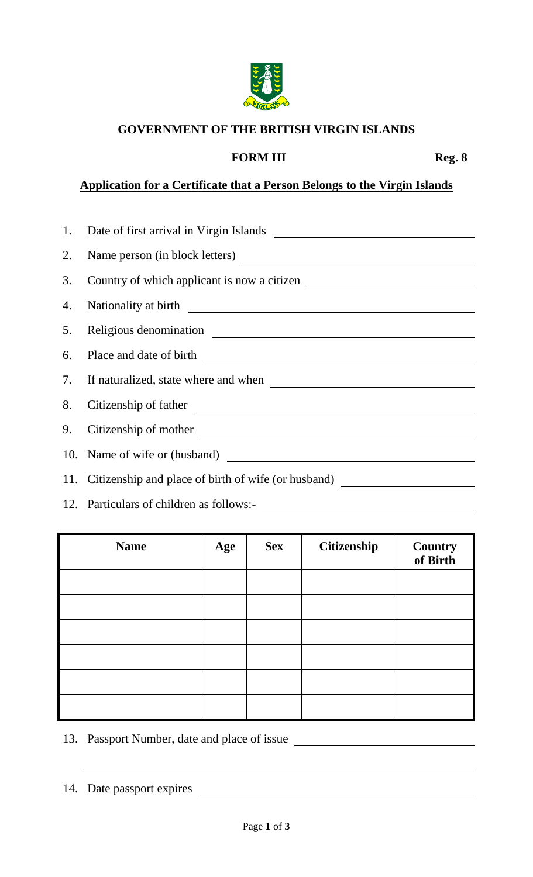

## **GOVERNMENT OF THE BRITISH VIRGIN ISLANDS**

### **FORM III** Reg. 8

# **Application for a Certificate that a Person Belongs to the Virgin Islands**

| 2. |                                                                                                                                                                                                                                      |
|----|--------------------------------------------------------------------------------------------------------------------------------------------------------------------------------------------------------------------------------------|
| 3. | Country of which applicant is now a citizen                                                                                                                                                                                          |
| 4. | Nationality at birth<br><u>Leadenborne and</u> the state of the state of the state of the state of the state of the state of the state of the state of the state of the state of the state of the state of the state of the state of |
|    | 5. Religious denomination                                                                                                                                                                                                            |
| 6. |                                                                                                                                                                                                                                      |
| 7. |                                                                                                                                                                                                                                      |
| 8. | Citizenship of father                                                                                                                                                                                                                |
| 9. |                                                                                                                                                                                                                                      |
|    | 10. Name of wife or (husband)                                                                                                                                                                                                        |
|    | 11. Citizenship and place of birth of wife (or husband)                                                                                                                                                                              |

12. Particulars of children as follows:-

| <b>Name</b> | Age | <b>Sex</b> | Citizenship | <b>Country</b><br>of Birth |
|-------------|-----|------------|-------------|----------------------------|
|             |     |            |             |                            |
|             |     |            |             |                            |
|             |     |            |             |                            |
|             |     |            |             |                            |
|             |     |            |             |                            |
|             |     |            |             |                            |

- 13. Passport Number, date and place of issue
- 14. Date passport expires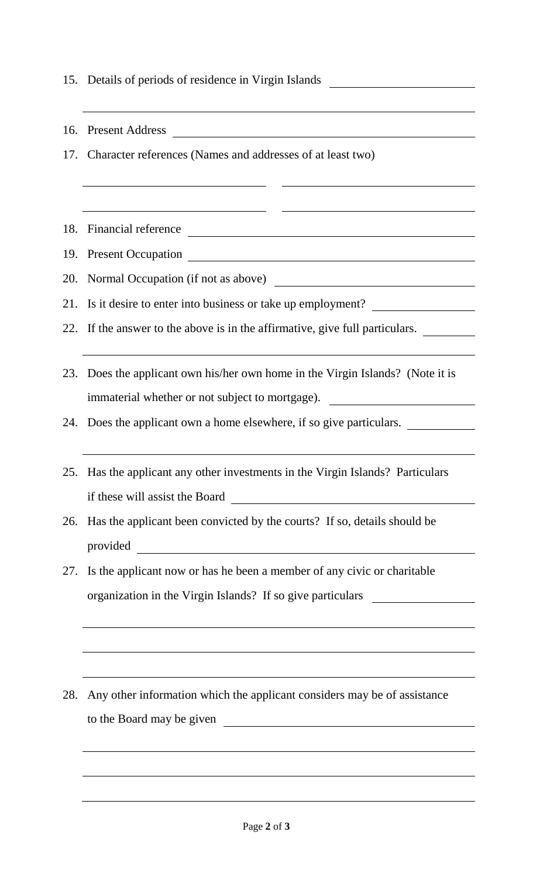15. Details of periods of residence in Virgin Islands 16. Present Address 17. Character references (Names and addresses of at least two) 18. Financial reference 19. Present Occupation 20. Normal Occupation (if not as above) 21. Is it desire to enter into business or take up employment? 22. If the answer to the above is in the affirmative, give full particulars. 23. Does the applicant own his/her own home in the Virgin Islands? (Note it is immaterial whether or not subject to mortgage). 24. Does the applicant own a home elsewhere, if so give particulars. 25. Has the applicant any other investments in the Virgin Islands? Particulars if these will assist the Board 26. Has the applicant been convicted by the courts? If so, details should be provided 27. Is the applicant now or has he been a member of any civic or charitable organization in the Virgin Islands? If so give particulars 28. Any other information which the applicant considers may be of assistance to the Board may be given